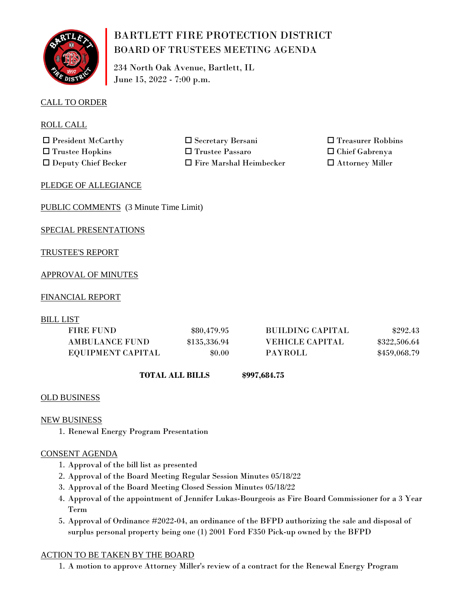

# BARTLETT FIRE PROTECTION DISTRICT BOARD OF TRUSTEES MEETING AGENDA

234 North Oak Avenue, Bartlett, IL June 15, 2022 - 7:00 p.m.

## CALL TO ORDER

ROLL CALL

 $\Box$  President McCarthy  $\Box$  Secretary Bersani  $\square$  Trustee Hopkins  $\square$  Trustee Passaro

 $\Box$  Deputy Chief Becker  $\Box$  Fire Marshal Heimbecker

 $\square$  Treasurer Robbins  $\square$  Chief Gabrenya  $\square$  Attorney Miller

#### PLEDGE OF ALLEGIANCE

PUBLIC COMMENTS (3 Minute Time Limit)

SPECIAL PRESENTATIONS

## TRUSTEE'S REPORT

## APPROVAL OF MINUTES

#### FINANCIAL REPORT

BILL LIST

| FIRE FUND             | \$80,479.95  | <b>BUILDING CAPITAL</b> | \$292.43     |
|-----------------------|--------------|-------------------------|--------------|
| <b>AMBULANCE FUND</b> | \$135,336.94 | <b>VEHICLE CAPITAL</b>  | \$322,506.64 |
| EQUIPMENT CAPITAL     | \$0.00       | PAYROLL                 | \$459,068.79 |

 **TOTAL ALL BILLS**

**\$997,684.75**

#### OLD BUSINESS

#### NEW BUSINESS

1. Renewal Energy Program Presentation

#### CONSENT AGENDA

- 1. Approval of the bill list as presented
- 2. Approval of the Board Meeting Regular Session Minutes 05/18/22
- 3. Approval of the Board Meeting Closed Session Minutes 05/18/22
- 4. Approval of the appointment of Jennifer Lukas-Bourgeois as Fire Board Commissioner for a 3 Year Term
- 5. Approval of Ordinance #2022-04, an ordinance of the BFPD authorizing the sale and disposal of surplus personal property being one (1) 2001 Ford F350 Pick-up owned by the BFPD

#### ACTION TO BE TAKEN BY THE BOARD

1. A motion to approve Attorney Miller's review of a contract for the Renewal Energy Program